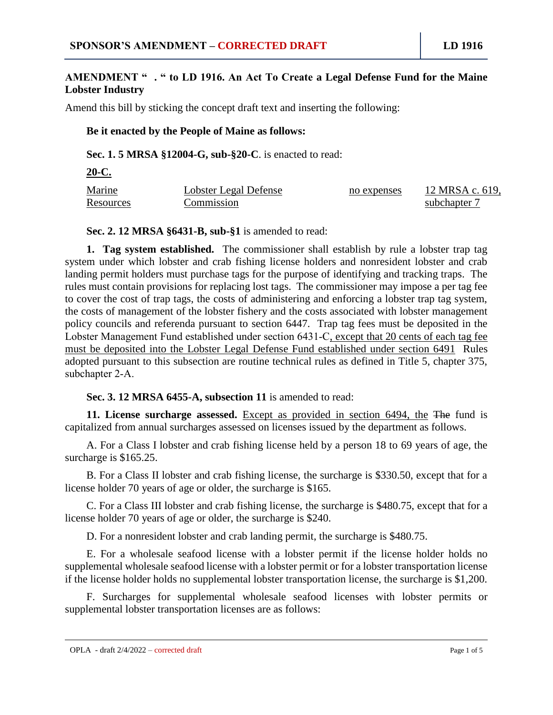### **AMENDMENT " . " to LD 1916. An Act To Create a Legal Defense Fund for the Maine Lobster Industry**

Amend this bill by sticking the concept draft text and inserting the following:

### **Be it enacted by the People of Maine as follows:**

**Sec. 1. 5 MRSA §12004-G, sub-§20-C**. is enacted to read:

**20-C.** 

| Marine           | Lobster Legal Defense | no expenses | 12 MRSA c. 619, |
|------------------|-----------------------|-------------|-----------------|
| <b>Resources</b> | Commission            |             | subchapter 7    |

#### **Sec. 2. 12 MRSA §6431-B, sub-§1** is amended to read:

**1. Tag system established.** The commissioner shall establish by rule a lobster trap tag system under which lobster and crab fishing license holders and nonresident lobster and crab landing permit holders must purchase tags for the purpose of identifying and tracking traps. The rules must contain provisions for replacing lost tags. The commissioner may impose a per tag fee to cover the cost of trap tags, the costs of administering and enforcing a lobster trap tag system, the costs of management of the lobster fishery and the costs associated with lobster management policy councils and referenda pursuant to section 6447. Trap tag fees must be deposited in the Lobster Management Fund established under section 6431-C, except that 20 cents of each tag fee must be deposited into the Lobster Legal Defense Fund established under section 6491 Rules adopted pursuant to this subsection are routine technical rules as defined in Title 5, chapter 375, subchapter 2‑A.

**Sec. 3. 12 MRSA 6455-A, subsection 11** is amended to read:

**11. License surcharge assessed.** Except as provided in section 6494, the The fund is capitalized from annual surcharges assessed on licenses issued by the department as follows.

A. For a Class I lobster and crab fishing license held by a person 18 to 69 years of age, the surcharge is \$165.25.

B. For a Class II lobster and crab fishing license, the surcharge is \$330.50, except that for a license holder 70 years of age or older, the surcharge is \$165.

C. For a Class III lobster and crab fishing license, the surcharge is \$480.75, except that for a license holder 70 years of age or older, the surcharge is \$240.

D. For a nonresident lobster and crab landing permit, the surcharge is \$480.75.

E. For a wholesale seafood license with a lobster permit if the license holder holds no supplemental wholesale seafood license with a lobster permit or for a lobster transportation license if the license holder holds no supplemental lobster transportation license, the surcharge is \$1,200.

F. Surcharges for supplemental wholesale seafood licenses with lobster permits or supplemental lobster transportation licenses are as follows: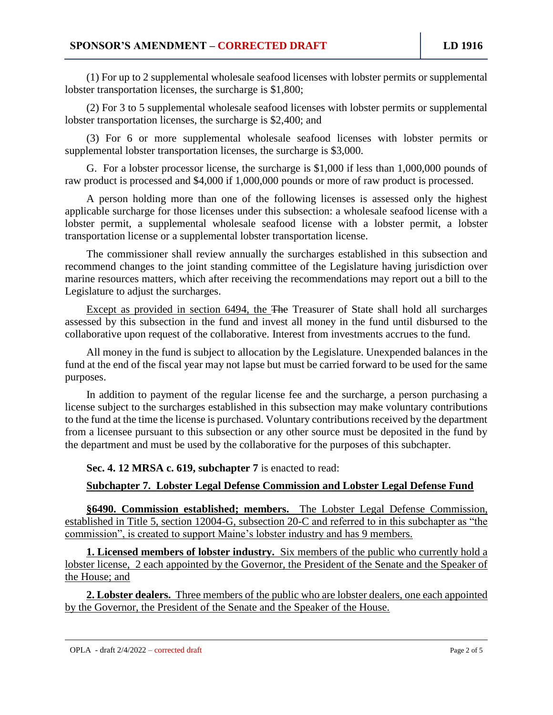(1) For up to 2 supplemental wholesale seafood licenses with lobster permits or supplemental lobster transportation licenses, the surcharge is \$1,800;

(2) For 3 to 5 supplemental wholesale seafood licenses with lobster permits or supplemental lobster transportation licenses, the surcharge is \$2,400; and

(3) For 6 or more supplemental wholesale seafood licenses with lobster permits or supplemental lobster transportation licenses, the surcharge is \$3,000.

G. For a lobster processor license, the surcharge is \$1,000 if less than 1,000,000 pounds of raw product is processed and \$4,000 if 1,000,000 pounds or more of raw product is processed.

A person holding more than one of the following licenses is assessed only the highest applicable surcharge for those licenses under this subsection: a wholesale seafood license with a lobster permit, a supplemental wholesale seafood license with a lobster permit, a lobster transportation license or a supplemental lobster transportation license.

The commissioner shall review annually the surcharges established in this subsection and recommend changes to the joint standing committee of the Legislature having jurisdiction over marine resources matters, which after receiving the recommendations may report out a bill to the Legislature to adjust the surcharges.

Except as provided in section 6494, the The Treasurer of State shall hold all surcharges assessed by this subsection in the fund and invest all money in the fund until disbursed to the collaborative upon request of the collaborative. Interest from investments accrues to the fund.

All money in the fund is subject to allocation by the Legislature. Unexpended balances in the fund at the end of the fiscal year may not lapse but must be carried forward to be used for the same purposes.

In addition to payment of the regular license fee and the surcharge, a person purchasing a license subject to the surcharges established in this subsection may make voluntary contributions to the fund at the time the license is purchased. Voluntary contributions received by the department from a licensee pursuant to this subsection or any other source must be deposited in the fund by the department and must be used by the collaborative for the purposes of this subchapter.

### **Sec. 4. 12 MRSA c. 619, subchapter 7** is enacted to read:

# **Subchapter 7. Lobster Legal Defense Commission and Lobster Legal Defense Fund**

**§6490. Commission established; members.** The Lobster Legal Defense Commission, established in Title 5, section 12004-G, subsection 20-C and referred to in this subchapter as "the commission", is created to support Maine's lobster industry and has 9 members.

**1. Licensed members of lobster industry.** Six members of the public who currently hold a lobster license, 2 each appointed by the Governor, the President of the Senate and the Speaker of the House; and

**2. Lobster dealers.** Three members of the public who are lobster dealers, one each appointed by the Governor, the President of the Senate and the Speaker of the House.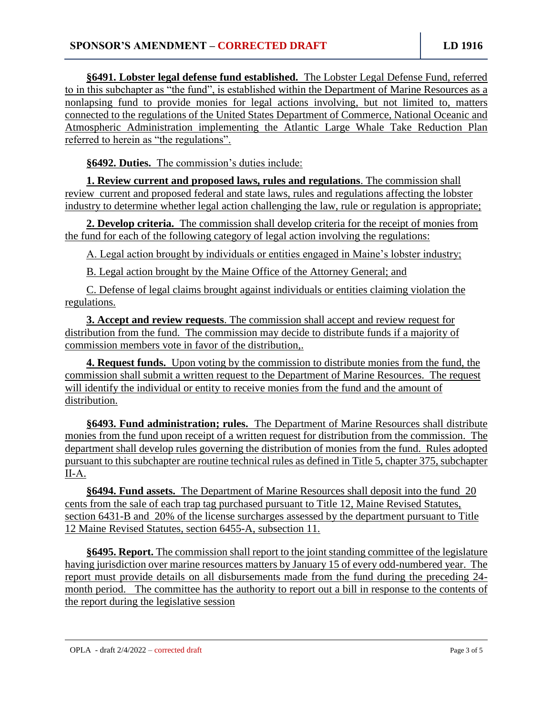**§6491. Lobster legal defense fund established.** The Lobster Legal Defense Fund, referred to in this subchapter as "the fund", is established within the Department of Marine Resources as a nonlapsing fund to provide monies for legal actions involving, but not limited to, matters connected to the regulations of the United States Department of Commerce, National Oceanic and Atmospheric Administration implementing the Atlantic Large Whale Take Reduction Plan referred to herein as "the regulations".

**§6492. Duties.** The commission's duties include:

**1. Review current and proposed laws, rules and regulations**. The commission shall review current and proposed federal and state laws, rules and regulations affecting the lobster industry to determine whether legal action challenging the law, rule or regulation is appropriate;

**2. Develop criteria.** The commission shall develop criteria for the receipt of monies from the fund for each of the following category of legal action involving the regulations:

A. Legal action brought by individuals or entities engaged in Maine's lobster industry;

B. Legal action brought by the Maine Office of the Attorney General; and

C. Defense of legal claims brought against individuals or entities claiming violation the regulations.

**3. Accept and review requests**. The commission shall accept and review request for distribution from the fund. The commission may decide to distribute funds if a majority of commission members vote in favor of the distribution,.

**4. Request funds.** Upon voting by the commission to distribute monies from the fund, the commission shall submit a written request to the Department of Marine Resources. The request will identify the individual or entity to receive monies from the fund and the amount of distribution.

**§6493. Fund administration; rules.** The Department of Marine Resources shall distribute monies from the fund upon receipt of a written request for distribution from the commission. The department shall develop rules governing the distribution of monies from the fund. Rules adopted pursuant to this subchapter are routine technical rules as defined in Title 5, chapter 375, subchapter II‑A.

**§6494. Fund assets.** The Department of Marine Resources shall deposit into the fund 20 cents from the sale of each trap tag purchased pursuant to Title 12, Maine Revised Statutes, section 6431-B and 20% of the license surcharges assessed by the department pursuant to Title 12 Maine Revised Statutes, section 6455-A, subsection 11.

**§6495. Report.** The commission shall report to the joint standing committee of the legislature having jurisdiction over marine resources matters by January 15 of every odd-numbered year. The report must provide details on all disbursements made from the fund during the preceding 24 month period. The committee has the authority to report out a bill in response to the contents of the report during the legislative session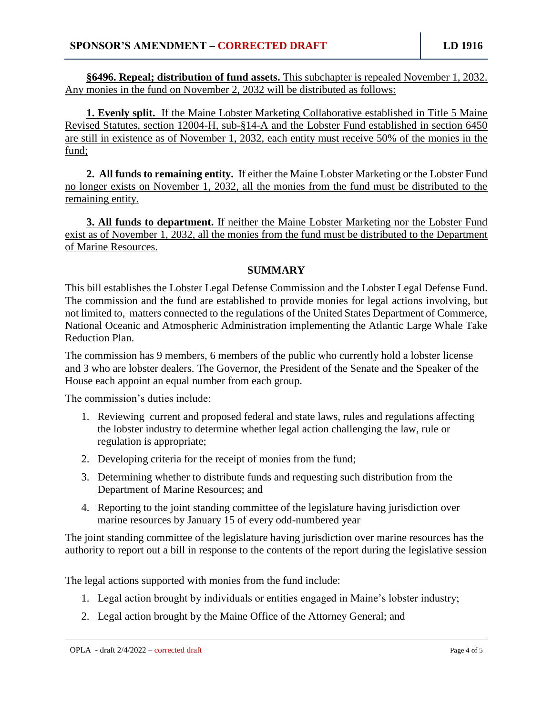**§6496. Repeal; distribution of fund assets.** This subchapter is repealed November 1, 2032. Any monies in the fund on November 2, 2032 will be distributed as follows:

**1. Evenly split.** If the Maine Lobster Marketing Collaborative established in Title 5 Maine Revised Statutes, section 12004-H, sub-§14-A and the Lobster Fund established in section 6450 are still in existence as of November 1, 2032, each entity must receive 50% of the monies in the fund;

**2. All funds to remaining entity.** If either the Maine Lobster Marketing or the Lobster Fund no longer exists on November 1, 2032, all the monies from the fund must be distributed to the remaining entity.

**3. All funds to department.** If neither the Maine Lobster Marketing nor the Lobster Fund exist as of November 1, 2032, all the monies from the fund must be distributed to the Department of Marine Resources.

# **SUMMARY**

This bill establishes the Lobster Legal Defense Commission and the Lobster Legal Defense Fund. The commission and the fund are established to provide monies for legal actions involving, but not limited to, matters connected to the regulations of the United States Department of Commerce, National Oceanic and Atmospheric Administration implementing the Atlantic Large Whale Take Reduction Plan.

The commission has 9 members, 6 members of the public who currently hold a lobster license and 3 who are lobster dealers. The Governor, the President of the Senate and the Speaker of the House each appoint an equal number from each group.

The commission's duties include:

- 1. Reviewing current and proposed federal and state laws, rules and regulations affecting the lobster industry to determine whether legal action challenging the law, rule or regulation is appropriate;
- 2. Developing criteria for the receipt of monies from the fund;
- 3. Determining whether to distribute funds and requesting such distribution from the Department of Marine Resources; and
- 4. Reporting to the joint standing committee of the legislature having jurisdiction over marine resources by January 15 of every odd-numbered year

The joint standing committee of the legislature having jurisdiction over marine resources has the authority to report out a bill in response to the contents of the report during the legislative session

The legal actions supported with monies from the fund include:

- 1. Legal action brought by individuals or entities engaged in Maine's lobster industry;
- 2. Legal action brought by the Maine Office of the Attorney General; and